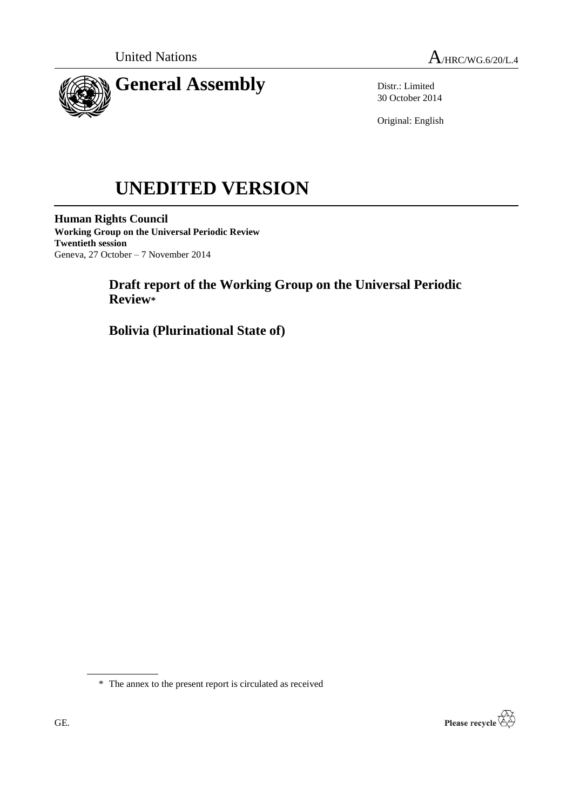



Distr.: Limited 30 October 2014

Original: English

# **UNEDITED VERSION**

**Human Rights Council Working Group on the Universal Periodic Review Twentieth session** Geneva, 27 October – 7 November 2014

# **Draft report of the Working Group on the Universal Periodic Review\***

**Bolivia (Plurinational State of)**

\* The annex to the present report is circulated as received

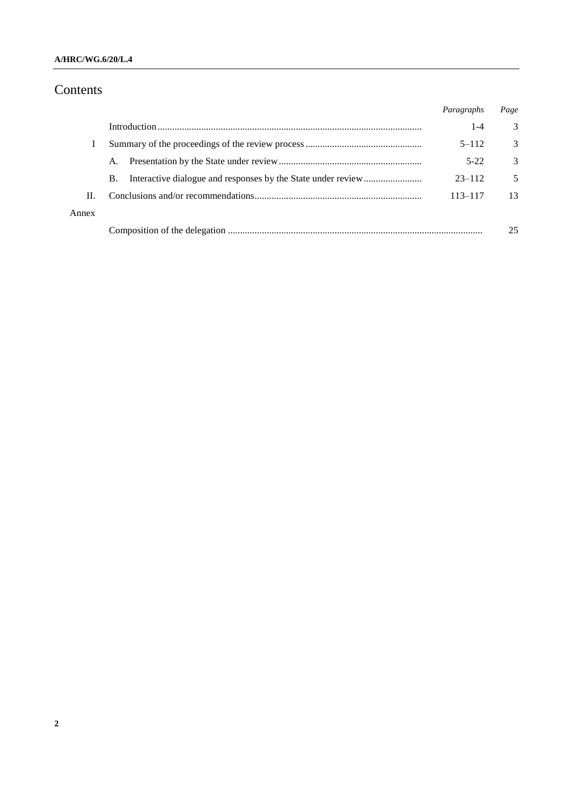#### **A/HRC/WG.6/20/L.4**

# Contents

|       |           | Paragraphs | Page |
|-------|-----------|------------|------|
|       |           | $1 - 4$    | 3    |
|       |           | $5 - 112$  | 3    |
|       | A.        | $5 - 22$   | 3    |
|       | <b>B.</b> | $23 - 112$ | 5    |
| Н.    |           | 113–117    | 13   |
| Annex |           |            |      |
|       |           |            | 25   |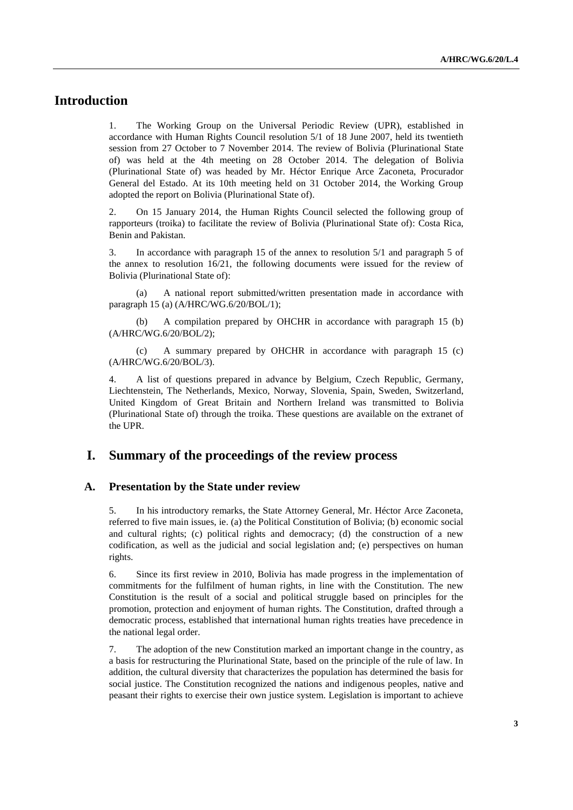## **Introduction**

1. The Working Group on the Universal Periodic Review (UPR), established in accordance with Human Rights Council resolution 5/1 of 18 June 2007, held its twentieth session from 27 October to 7 November 2014. The review of Bolivia (Plurinational State of) was held at the 4th meeting on 28 October 2014. The delegation of Bolivia (Plurinational State of) was headed by Mr. Héctor Enrique Arce Zaconeta, Procurador General del Estado. At its 10th meeting held on 31 October 2014, the Working Group adopted the report on Bolivia (Plurinational State of).

2. On 15 January 2014, the Human Rights Council selected the following group of rapporteurs (troika) to facilitate the review of Bolivia (Plurinational State of): Costa Rica, Benin and Pakistan.

3. In accordance with paragraph 15 of the annex to resolution 5/1 and paragraph 5 of the annex to resolution 16/21, the following documents were issued for the review of Bolivia (Plurinational State of):

(a) A national report submitted/written presentation made in accordance with paragraph 15 (a) (A/HRC/WG.6/20/BOL/1);

(b) A compilation prepared by OHCHR in accordance with paragraph 15 (b) (A/HRC/WG.6/20/BOL/2);

(c) A summary prepared by OHCHR in accordance with paragraph 15 (c) (A/HRC/WG.6/20/BOL/3).

4. A list of questions prepared in advance by Belgium, Czech Republic, Germany, Liechtenstein, The Netherlands, Mexico, Norway, Slovenia, Spain, Sweden, Switzerland, United Kingdom of Great Britain and Northern Ireland was transmitted to Bolivia (Plurinational State of) through the troika. These questions are available on the extranet of the UPR.

## **I. Summary of the proceedings of the review process**

#### **A. Presentation by the State under review**

5. In his introductory remarks, the State Attorney General, Mr. Héctor Arce Zaconeta, referred to five main issues, ie. (a) the Political Constitution of Bolivia; (b) economic social and cultural rights; (c) political rights and democracy; (d) the construction of a new codification, as well as the judicial and social legislation and; (e) perspectives on human rights.

6. Since its first review in 2010, Bolivia has made progress in the implementation of commitments for the fulfilment of human rights, in line with the Constitution. The new Constitution is the result of a social and political struggle based on principles for the promotion, protection and enjoyment of human rights. The Constitution, drafted through a democratic process, established that international human rights treaties have precedence in the national legal order.

7. The adoption of the new Constitution marked an important change in the country, as a basis for restructuring the Plurinational State, based on the principle of the rule of law. In addition, the cultural diversity that characterizes the population has determined the basis for social justice. The Constitution recognized the nations and indigenous peoples, native and peasant their rights to exercise their own justice system. Legislation is important to achieve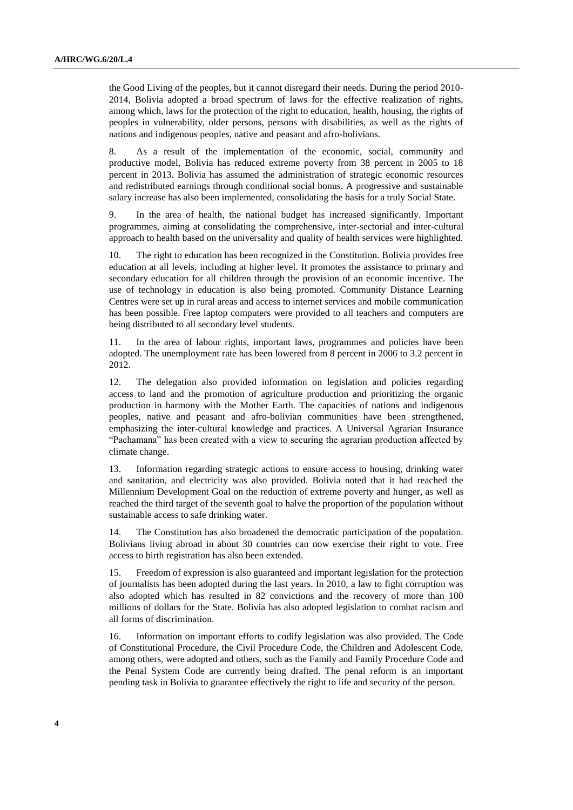the Good Living of the peoples, but it cannot disregard their needs. During the period 2010- 2014, Bolivia adopted a broad spectrum of laws for the effective realization of rights, among which, laws for the protection of the right to education, health, housing, the rights of peoples in vulnerability, older persons, persons with disabilities, as well as the rights of nations and indigenous peoples, native and peasant and afro-bolivians.

8. As a result of the implementation of the economic, social, community and productive model, Bolivia has reduced extreme poverty from 38 percent in 2005 to 18 percent in 2013. Bolivia has assumed the administration of strategic economic resources and redistributed earnings through conditional social bonus. A progressive and sustainable salary increase has also been implemented, consolidating the basis for a truly Social State.

9. In the area of health, the national budget has increased significantly. Important programmes, aiming at consolidating the comprehensive, inter-sectorial and inter-cultural approach to health based on the universality and quality of health services were highlighted.

10. The right to education has been recognized in the Constitution. Bolivia provides free education at all levels, including at higher level. It promotes the assistance to primary and secondary education for all children through the provision of an economic incentive. The use of technology in education is also being promoted. Community Distance Learning Centres were set up in rural areas and access to internet services and mobile communication has been possible. Free laptop computers were provided to all teachers and computers are being distributed to all secondary level students.

11. In the area of labour rights, important laws, programmes and policies have been adopted. The unemployment rate has been lowered from 8 percent in 2006 to 3.2 percent in 2012.

12. The delegation also provided information on legislation and policies regarding access to land and the promotion of agriculture production and prioritizing the organic production in harmony with the Mother Earth. The capacities of nations and indigenous peoples, native and peasant and afro-bolivian communities have been strengthened, emphasizing the inter-cultural knowledge and practices. A Universal Agrarian Insurance "Pachamana" has been created with a view to securing the agrarian production affected by climate change.

13. Information regarding strategic actions to ensure access to housing, drinking water and sanitation, and electricity was also provided. Bolivia noted that it had reached the Millennium Development Goal on the reduction of extreme poverty and hunger, as well as reached the third target of the seventh goal to halve the proportion of the population without sustainable access to safe drinking water.

14. The Constitution has also broadened the democratic participation of the population. Bolivians living abroad in about 30 countries can now exercise their right to vote. Free access to birth registration has also been extended.

15. Freedom of expression is also guaranteed and important legislation for the protection of journalists has been adopted during the last years. In 2010, a law to fight corruption was also adopted which has resulted in 82 convictions and the recovery of more than 100 millions of dollars for the State. Bolivia has also adopted legislation to combat racism and all forms of discrimination.

16. Information on important efforts to codify legislation was also provided. The Code of Constitutional Procedure, the Civil Procedure Code, the Children and Adolescent Code, among others, were adopted and others, such as the Family and Family Procedure Code and the Penal System Code are currently being drafted. The penal reform is an important pending task in Bolivia to guarantee effectively the right to life and security of the person.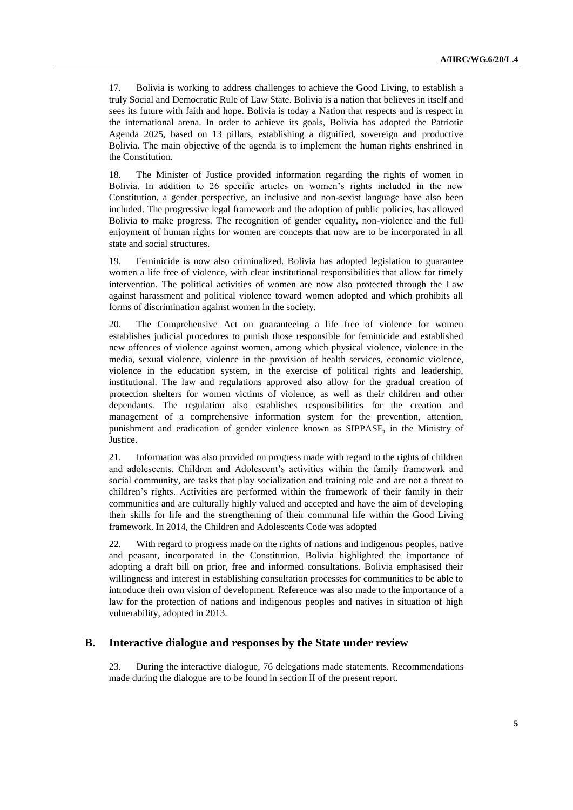17. Bolivia is working to address challenges to achieve the Good Living, to establish a truly Social and Democratic Rule of Law State. Bolivia is a nation that believes in itself and sees its future with faith and hope. Bolivia is today a Nation that respects and is respect in the international arena. In order to achieve its goals, Bolivia has adopted the Patriotic Agenda 2025, based on 13 pillars, establishing a dignified, sovereign and productive Bolivia. The main objective of the agenda is to implement the human rights enshrined in the Constitution.

18. The Minister of Justice provided information regarding the rights of women in Bolivia. In addition to 26 specific articles on women's rights included in the new Constitution, a gender perspective, an inclusive and non-sexist language have also been included. The progressive legal framework and the adoption of public policies, has allowed Bolivia to make progress. The recognition of gender equality, non-violence and the full enjoyment of human rights for women are concepts that now are to be incorporated in all state and social structures.

19. Feminicide is now also criminalized. Bolivia has adopted legislation to guarantee women a life free of violence, with clear institutional responsibilities that allow for timely intervention. The political activities of women are now also protected through the Law against harassment and political violence toward women adopted and which prohibits all forms of discrimination against women in the society.

20. The Comprehensive Act on guaranteeing a life free of violence for women establishes judicial procedures to punish those responsible for feminicide and established new offences of violence against women, among which physical violence, violence in the media, sexual violence, violence in the provision of health services, economic violence, violence in the education system, in the exercise of political rights and leadership, institutional. The law and regulations approved also allow for the gradual creation of protection shelters for women victims of violence, as well as their children and other dependants. The regulation also establishes responsibilities for the creation and management of a comprehensive information system for the prevention, attention, punishment and eradication of gender violence known as SIPPASE, in the Ministry of Justice.

21. Information was also provided on progress made with regard to the rights of children and adolescents. Children and Adolescent's activities within the family framework and social community, are tasks that play socialization and training role and are not a threat to children's rights. Activities are performed within the framework of their family in their communities and are culturally highly valued and accepted and have the aim of developing their skills for life and the strengthening of their communal life within the Good Living framework. In 2014, the Children and Adolescents Code was adopted

22. With regard to progress made on the rights of nations and indigenous peoples, native and peasant, incorporated in the Constitution, Bolivia highlighted the importance of adopting a draft bill on prior, free and informed consultations. Bolivia emphasised their willingness and interest in establishing consultation processes for communities to be able to introduce their own vision of development. Reference was also made to the importance of a law for the protection of nations and indigenous peoples and natives in situation of high vulnerability, adopted in 2013.

#### **B. Interactive dialogue and responses by the State under review**

23. During the interactive dialogue, 76 delegations made statements. Recommendations made during the dialogue are to be found in section II of the present report.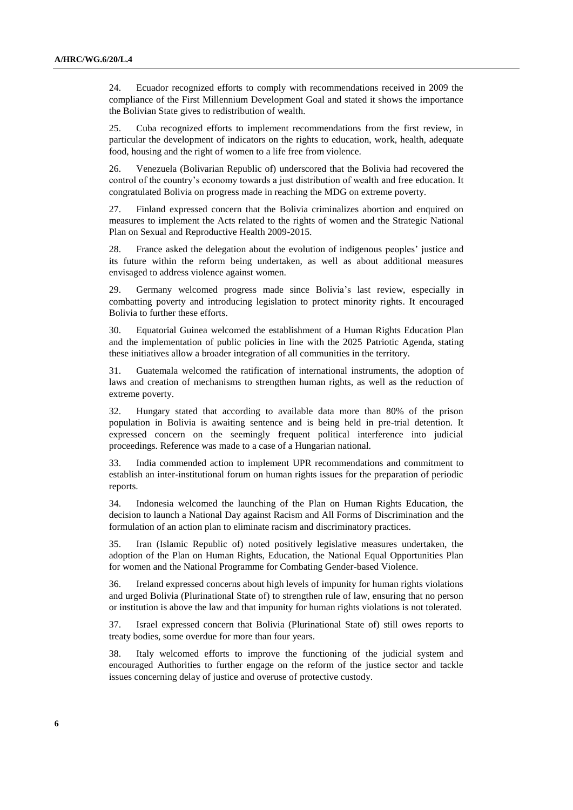24. Ecuador recognized efforts to comply with recommendations received in 2009 the compliance of the First Millennium Development Goal and stated it shows the importance the Bolivian State gives to redistribution of wealth.

25. Cuba recognized efforts to implement recommendations from the first review, in particular the development of indicators on the rights to education, work, health, adequate food, housing and the right of women to a life free from violence.

26. Venezuela (Bolivarian Republic of) underscored that the Bolivia had recovered the control of the country's economy towards a just distribution of wealth and free education. It congratulated Bolivia on progress made in reaching the MDG on extreme poverty.

27. Finland expressed concern that the Bolivia criminalizes abortion and enquired on measures to implement the Acts related to the rights of women and the Strategic National Plan on Sexual and Reproductive Health 2009-2015.

28. France asked the delegation about the evolution of indigenous peoples' justice and its future within the reform being undertaken, as well as about additional measures envisaged to address violence against women.

29. Germany welcomed progress made since Bolivia's last review, especially in combatting poverty and introducing legislation to protect minority rights. It encouraged Bolivia to further these efforts.

30. Equatorial Guinea welcomed the establishment of a Human Rights Education Plan and the implementation of public policies in line with the 2025 Patriotic Agenda, stating these initiatives allow a broader integration of all communities in the territory.

31. Guatemala welcomed the ratification of international instruments, the adoption of laws and creation of mechanisms to strengthen human rights, as well as the reduction of extreme poverty.

32. Hungary stated that according to available data more than 80% of the prison population in Bolivia is awaiting sentence and is being held in pre-trial detention. It expressed concern on the seemingly frequent political interference into judicial proceedings. Reference was made to a case of a Hungarian national.

33. India commended action to implement UPR recommendations and commitment to establish an inter-institutional forum on human rights issues for the preparation of periodic reports.

34. Indonesia welcomed the launching of the Plan on Human Rights Education, the decision to launch a National Day against Racism and All Forms of Discrimination and the formulation of an action plan to eliminate racism and discriminatory practices.

35. Iran (Islamic Republic of) noted positively legislative measures undertaken, the adoption of the Plan on Human Rights, Education, the National Equal Opportunities Plan for women and the National Programme for Combating Gender-based Violence.

36. Ireland expressed concerns about high levels of impunity for human rights violations and urged Bolivia (Plurinational State of) to strengthen rule of law, ensuring that no person or institution is above the law and that impunity for human rights violations is not tolerated.

37. Israel expressed concern that Bolivia (Plurinational State of) still owes reports to treaty bodies, some overdue for more than four years.

38. Italy welcomed efforts to improve the functioning of the judicial system and encouraged Authorities to further engage on the reform of the justice sector and tackle issues concerning delay of justice and overuse of protective custody.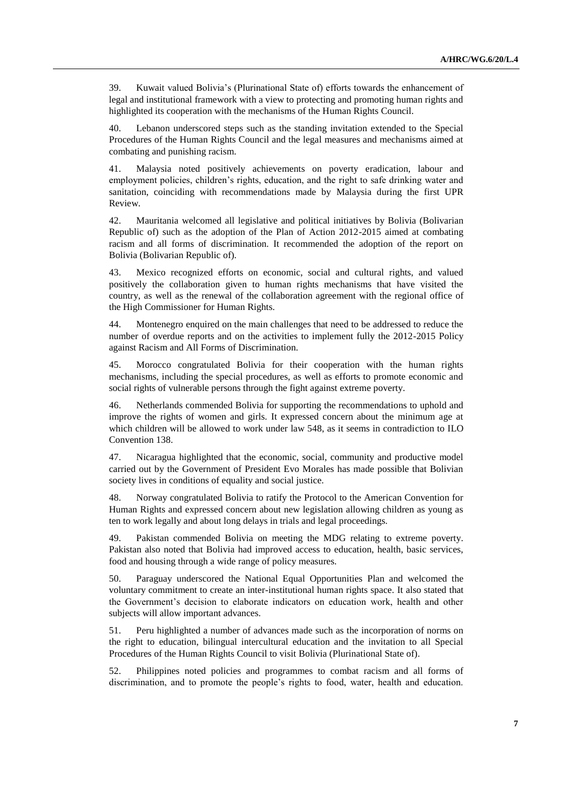39. Kuwait valued Bolivia's (Plurinational State of) efforts towards the enhancement of legal and institutional framework with a view to protecting and promoting human rights and highlighted its cooperation with the mechanisms of the Human Rights Council.

40. Lebanon underscored steps such as the standing invitation extended to the Special Procedures of the Human Rights Council and the legal measures and mechanisms aimed at combating and punishing racism.

41. Malaysia noted positively achievements on poverty eradication, labour and employment policies, children's rights, education, and the right to safe drinking water and sanitation, coinciding with recommendations made by Malaysia during the first UPR Review.

42. Mauritania welcomed all legislative and political initiatives by Bolivia (Bolivarian Republic of) such as the adoption of the Plan of Action 2012-2015 aimed at combating racism and all forms of discrimination. It recommended the adoption of the report on Bolivia (Bolivarian Republic of).

43. Mexico recognized efforts on economic, social and cultural rights, and valued positively the collaboration given to human rights mechanisms that have visited the country, as well as the renewal of the collaboration agreement with the regional office of the High Commissioner for Human Rights.

44. Montenegro enquired on the main challenges that need to be addressed to reduce the number of overdue reports and on the activities to implement fully the 2012-2015 Policy against Racism and All Forms of Discrimination.

45. Morocco congratulated Bolivia for their cooperation with the human rights mechanisms, including the special procedures, as well as efforts to promote economic and social rights of vulnerable persons through the fight against extreme poverty.

46. Netherlands commended Bolivia for supporting the recommendations to uphold and improve the rights of women and girls. It expressed concern about the minimum age at which children will be allowed to work under law 548, as it seems in contradiction to ILO Convention 138.

47. Nicaragua highlighted that the economic, social, community and productive model carried out by the Government of President Evo Morales has made possible that Bolivian society lives in conditions of equality and social justice.

48. Norway congratulated Bolivia to ratify the Protocol to the American Convention for Human Rights and expressed concern about new legislation allowing children as young as ten to work legally and about long delays in trials and legal proceedings.

49. Pakistan commended Bolivia on meeting the MDG relating to extreme poverty. Pakistan also noted that Bolivia had improved access to education, health, basic services, food and housing through a wide range of policy measures.

50. Paraguay underscored the National Equal Opportunities Plan and welcomed the voluntary commitment to create an inter-institutional human rights space. It also stated that the Government's decision to elaborate indicators on education work, health and other subjects will allow important advances.

51. Peru highlighted a number of advances made such as the incorporation of norms on the right to education, bilingual intercultural education and the invitation to all Special Procedures of the Human Rights Council to visit Bolivia (Plurinational State of).

52. Philippines noted policies and programmes to combat racism and all forms of discrimination, and to promote the people's rights to food, water, health and education.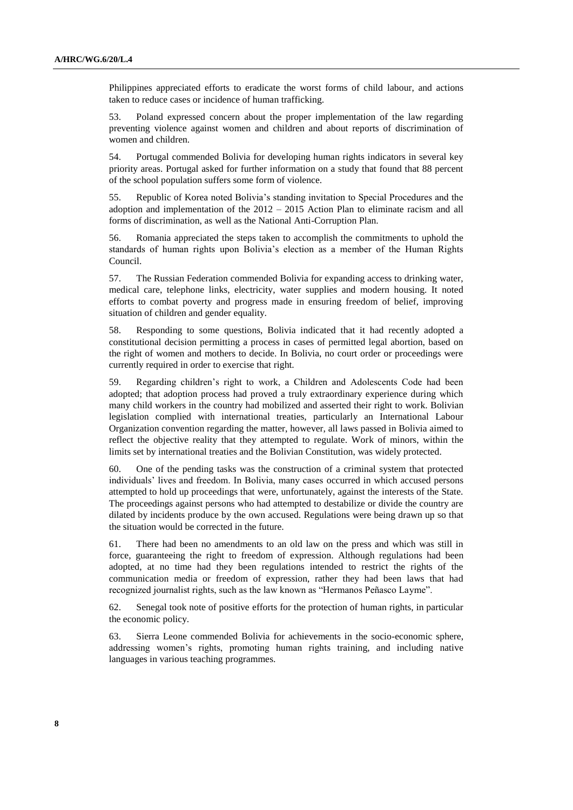Philippines appreciated efforts to eradicate the worst forms of child labour, and actions taken to reduce cases or incidence of human trafficking.

53. Poland expressed concern about the proper implementation of the law regarding preventing violence against women and children and about reports of discrimination of women and children.

54. Portugal commended Bolivia for developing human rights indicators in several key priority areas. Portugal asked for further information on a study that found that 88 percent of the school population suffers some form of violence.

55. Republic of Korea noted Bolivia's standing invitation to Special Procedures and the adoption and implementation of the 2012 – 2015 Action Plan to eliminate racism and all forms of discrimination, as well as the National Anti-Corruption Plan.

56. Romania appreciated the steps taken to accomplish the commitments to uphold the standards of human rights upon Bolivia's election as a member of the Human Rights Council.

57. The Russian Federation commended Bolivia for expanding access to drinking water, medical care, telephone links, electricity, water supplies and modern housing. It noted efforts to combat poverty and progress made in ensuring freedom of belief, improving situation of children and gender equality.

58. Responding to some questions, Bolivia indicated that it had recently adopted a constitutional decision permitting a process in cases of permitted legal abortion, based on the right of women and mothers to decide. In Bolivia, no court order or proceedings were currently required in order to exercise that right.

59. Regarding children's right to work, a Children and Adolescents Code had been adopted; that adoption process had proved a truly extraordinary experience during which many child workers in the country had mobilized and asserted their right to work. Bolivian legislation complied with international treaties, particularly an International Labour Organization convention regarding the matter, however, all laws passed in Bolivia aimed to reflect the objective reality that they attempted to regulate. Work of minors, within the limits set by international treaties and the Bolivian Constitution, was widely protected.

60. One of the pending tasks was the construction of a criminal system that protected individuals' lives and freedom. In Bolivia, many cases occurred in which accused persons attempted to hold up proceedings that were, unfortunately, against the interests of the State. The proceedings against persons who had attempted to destabilize or divide the country are dilated by incidents produce by the own accused. Regulations were being drawn up so that the situation would be corrected in the future.

61. There had been no amendments to an old law on the press and which was still in force, guaranteeing the right to freedom of expression. Although regulations had been adopted, at no time had they been regulations intended to restrict the rights of the communication media or freedom of expression, rather they had been laws that had recognized journalist rights, such as the law known as "Hermanos Peñasco Layme".

62. Senegal took note of positive efforts for the protection of human rights, in particular the economic policy.

63. Sierra Leone commended Bolivia for achievements in the socio-economic sphere, addressing women's rights, promoting human rights training, and including native languages in various teaching programmes.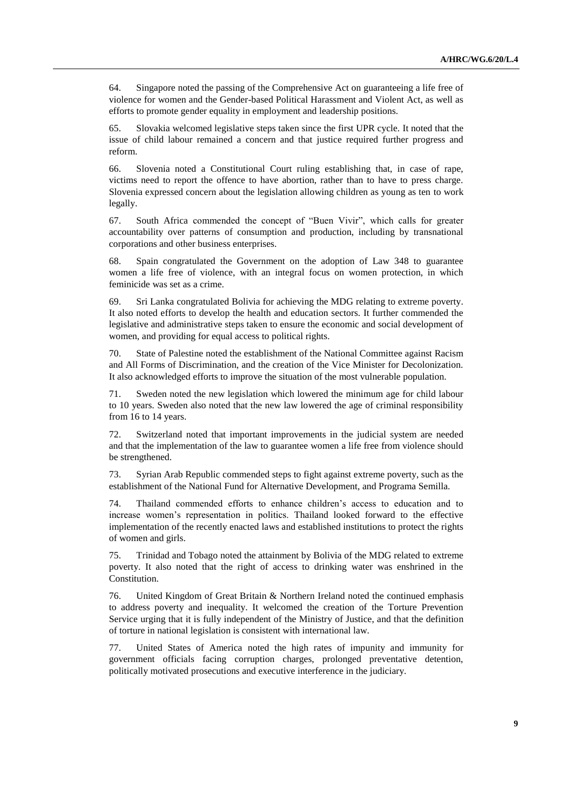64. Singapore noted the passing of the Comprehensive Act on guaranteeing a life free of violence for women and the Gender-based Political Harassment and Violent Act, as well as efforts to promote gender equality in employment and leadership positions.

65. Slovakia welcomed legislative steps taken since the first UPR cycle. It noted that the issue of child labour remained a concern and that justice required further progress and reform.

66. Slovenia noted a Constitutional Court ruling establishing that, in case of rape, victims need to report the offence to have abortion, rather than to have to press charge. Slovenia expressed concern about the legislation allowing children as young as ten to work legally.

67. South Africa commended the concept of "Buen Vivir", which calls for greater accountability over patterns of consumption and production, including by transnational corporations and other business enterprises.

68. Spain congratulated the Government on the adoption of Law 348 to guarantee women a life free of violence, with an integral focus on women protection, in which feminicide was set as a crime.

69. Sri Lanka congratulated Bolivia for achieving the MDG relating to extreme poverty. It also noted efforts to develop the health and education sectors. It further commended the legislative and administrative steps taken to ensure the economic and social development of women, and providing for equal access to political rights.

70. State of Palestine noted the establishment of the National Committee against Racism and All Forms of Discrimination, and the creation of the Vice Minister for Decolonization. It also acknowledged efforts to improve the situation of the most vulnerable population.

71. Sweden noted the new legislation which lowered the minimum age for child labour to 10 years. Sweden also noted that the new law lowered the age of criminal responsibility from 16 to 14 years.

72. Switzerland noted that important improvements in the judicial system are needed and that the implementation of the law to guarantee women a life free from violence should be strengthened.

73. Syrian Arab Republic commended steps to fight against extreme poverty, such as the establishment of the National Fund for Alternative Development, and Programa Semilla.

74. Thailand commended efforts to enhance children's access to education and to increase women's representation in politics. Thailand looked forward to the effective implementation of the recently enacted laws and established institutions to protect the rights of women and girls.

75. Trinidad and Tobago noted the attainment by Bolivia of the MDG related to extreme poverty. It also noted that the right of access to drinking water was enshrined in the Constitution.

76. United Kingdom of Great Britain & Northern Ireland noted the continued emphasis to address poverty and inequality. It welcomed the creation of the Torture Prevention Service urging that it is fully independent of the Ministry of Justice, and that the definition of torture in national legislation is consistent with international law.

77. United States of America noted the high rates of impunity and immunity for government officials facing corruption charges, prolonged preventative detention, politically motivated prosecutions and executive interference in the judiciary.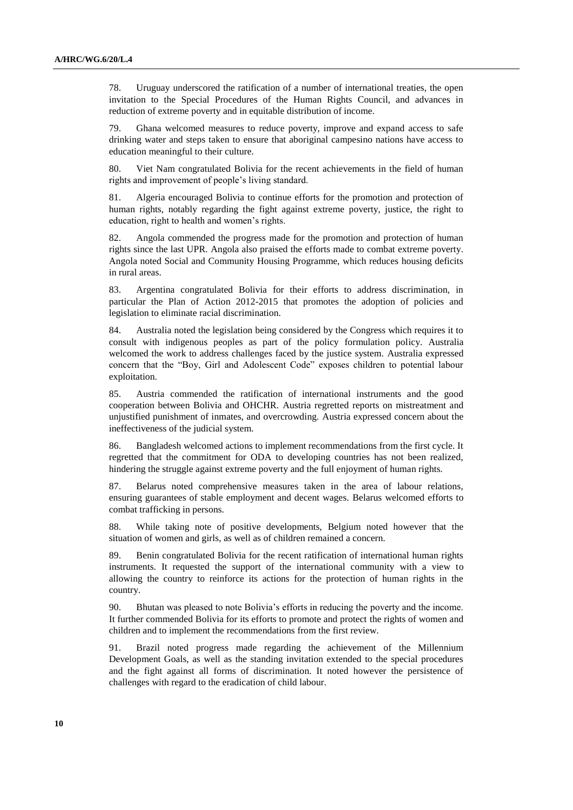78. Uruguay underscored the ratification of a number of international treaties, the open invitation to the Special Procedures of the Human Rights Council, and advances in reduction of extreme poverty and in equitable distribution of income.

79. Ghana welcomed measures to reduce poverty, improve and expand access to safe drinking water and steps taken to ensure that aboriginal campesino nations have access to education meaningful to their culture.

80. Viet Nam congratulated Bolivia for the recent achievements in the field of human rights and improvement of people's living standard.

81. Algeria encouraged Bolivia to continue efforts for the promotion and protection of human rights, notably regarding the fight against extreme poverty, justice, the right to education, right to health and women's rights.

82. Angola commended the progress made for the promotion and protection of human rights since the last UPR. Angola also praised the efforts made to combat extreme poverty. Angola noted Social and Community Housing Programme, which reduces housing deficits in rural areas.

83. Argentina congratulated Bolivia for their efforts to address discrimination, in particular the Plan of Action 2012-2015 that promotes the adoption of policies and legislation to eliminate racial discrimination.

84. Australia noted the legislation being considered by the Congress which requires it to consult with indigenous peoples as part of the policy formulation policy. Australia welcomed the work to address challenges faced by the justice system. Australia expressed concern that the "Boy, Girl and Adolescent Code" exposes children to potential labour exploitation.

85. Austria commended the ratification of international instruments and the good cooperation between Bolivia and OHCHR. Austria regretted reports on mistreatment and unjustified punishment of inmates, and overcrowding. Austria expressed concern about the ineffectiveness of the judicial system.

86. Bangladesh welcomed actions to implement recommendations from the first cycle. It regretted that the commitment for ODA to developing countries has not been realized, hindering the struggle against extreme poverty and the full enjoyment of human rights.

87. Belarus noted comprehensive measures taken in the area of labour relations, ensuring guarantees of stable employment and decent wages. Belarus welcomed efforts to combat trafficking in persons.

88. While taking note of positive developments, Belgium noted however that the situation of women and girls, as well as of children remained a concern.

89. Benin congratulated Bolivia for the recent ratification of international human rights instruments. It requested the support of the international community with a view to allowing the country to reinforce its actions for the protection of human rights in the country.

90. Bhutan was pleased to note Bolivia's efforts in reducing the poverty and the income. It further commended Bolivia for its efforts to promote and protect the rights of women and children and to implement the recommendations from the first review.

91. Brazil noted progress made regarding the achievement of the Millennium Development Goals, as well as the standing invitation extended to the special procedures and the fight against all forms of discrimination. It noted however the persistence of challenges with regard to the eradication of child labour.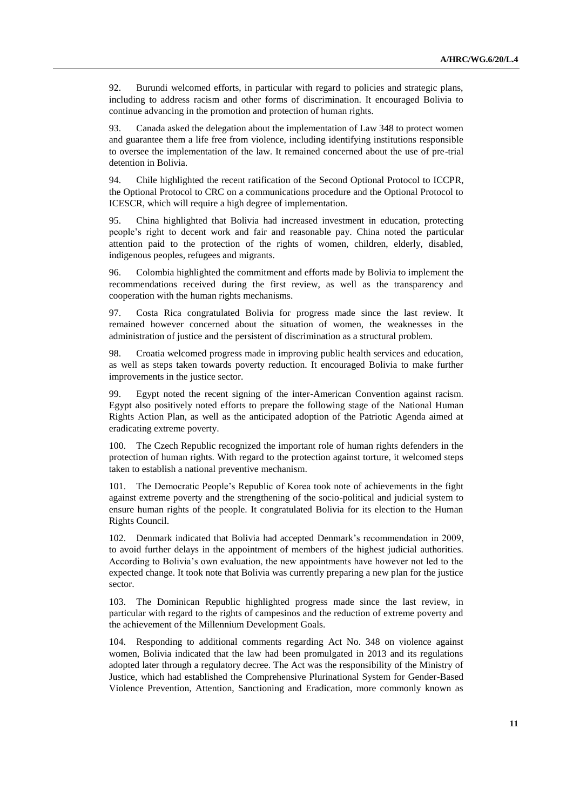92. Burundi welcomed efforts, in particular with regard to policies and strategic plans, including to address racism and other forms of discrimination. It encouraged Bolivia to continue advancing in the promotion and protection of human rights.

93. Canada asked the delegation about the implementation of Law 348 to protect women and guarantee them a life free from violence, including identifying institutions responsible to oversee the implementation of the law. It remained concerned about the use of pre-trial detention in Bolivia.

94. Chile highlighted the recent ratification of the Second Optional Protocol to ICCPR, the Optional Protocol to CRC on a communications procedure and the Optional Protocol to ICESCR, which will require a high degree of implementation.

95. China highlighted that Bolivia had increased investment in education, protecting people's right to decent work and fair and reasonable pay. China noted the particular attention paid to the protection of the rights of women, children, elderly, disabled, indigenous peoples, refugees and migrants.

96. Colombia highlighted the commitment and efforts made by Bolivia to implement the recommendations received during the first review, as well as the transparency and cooperation with the human rights mechanisms.

97. Costa Rica congratulated Bolivia for progress made since the last review. It remained however concerned about the situation of women, the weaknesses in the administration of justice and the persistent of discrimination as a structural problem.

98. Croatia welcomed progress made in improving public health services and education, as well as steps taken towards poverty reduction. It encouraged Bolivia to make further improvements in the justice sector.

99. Egypt noted the recent signing of the inter-American Convention against racism. Egypt also positively noted efforts to prepare the following stage of the National Human Rights Action Plan, as well as the anticipated adoption of the Patriotic Agenda aimed at eradicating extreme poverty.

100. The Czech Republic recognized the important role of human rights defenders in the protection of human rights. With regard to the protection against torture, it welcomed steps taken to establish a national preventive mechanism.

101. The Democratic People's Republic of Korea took note of achievements in the fight against extreme poverty and the strengthening of the socio-political and judicial system to ensure human rights of the people. It congratulated Bolivia for its election to the Human Rights Council.

102. Denmark indicated that Bolivia had accepted Denmark's recommendation in 2009, to avoid further delays in the appointment of members of the highest judicial authorities. According to Bolivia's own evaluation, the new appointments have however not led to the expected change. It took note that Bolivia was currently preparing a new plan for the justice sector.

103. The Dominican Republic highlighted progress made since the last review, in particular with regard to the rights of campesinos and the reduction of extreme poverty and the achievement of the Millennium Development Goals.

104. Responding to additional comments regarding Act No. 348 on violence against women, Bolivia indicated that the law had been promulgated in 2013 and its regulations adopted later through a regulatory decree. The Act was the responsibility of the Ministry of Justice, which had established the Comprehensive Plurinational System for Gender-Based Violence Prevention, Attention, Sanctioning and Eradication, more commonly known as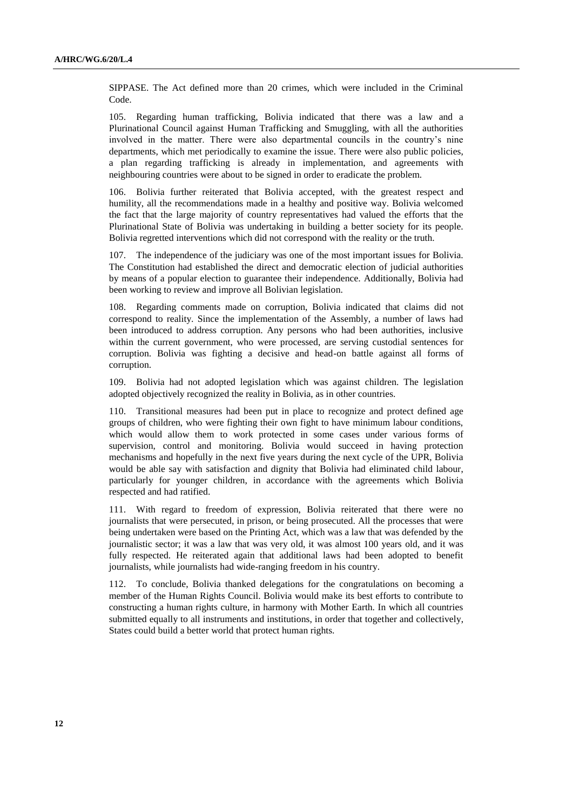SIPPASE. The Act defined more than 20 crimes, which were included in the Criminal Code.

105. Regarding human trafficking, Bolivia indicated that there was a law and a Plurinational Council against Human Trafficking and Smuggling, with all the authorities involved in the matter. There were also departmental councils in the country's nine departments, which met periodically to examine the issue. There were also public policies, a plan regarding trafficking is already in implementation, and agreements with neighbouring countries were about to be signed in order to eradicate the problem.

106. Bolivia further reiterated that Bolivia accepted, with the greatest respect and humility, all the recommendations made in a healthy and positive way. Bolivia welcomed the fact that the large majority of country representatives had valued the efforts that the Plurinational State of Bolivia was undertaking in building a better society for its people. Bolivia regretted interventions which did not correspond with the reality or the truth.

107. The independence of the judiciary was one of the most important issues for Bolivia. The Constitution had established the direct and democratic election of judicial authorities by means of a popular election to guarantee their independence. Additionally, Bolivia had been working to review and improve all Bolivian legislation.

108. Regarding comments made on corruption, Bolivia indicated that claims did not correspond to reality. Since the implementation of the Assembly, a number of laws had been introduced to address corruption. Any persons who had been authorities, inclusive within the current government, who were processed, are serving custodial sentences for corruption. Bolivia was fighting a decisive and head-on battle against all forms of corruption.

109. Bolivia had not adopted legislation which was against children. The legislation adopted objectively recognized the reality in Bolivia, as in other countries.

110. Transitional measures had been put in place to recognize and protect defined age groups of children, who were fighting their own fight to have minimum labour conditions, which would allow them to work protected in some cases under various forms of supervision, control and monitoring. Bolivia would succeed in having protection mechanisms and hopefully in the next five years during the next cycle of the UPR, Bolivia would be able say with satisfaction and dignity that Bolivia had eliminated child labour, particularly for younger children, in accordance with the agreements which Bolivia respected and had ratified.

111. With regard to freedom of expression, Bolivia reiterated that there were no journalists that were persecuted, in prison, or being prosecuted. All the processes that were being undertaken were based on the Printing Act, which was a law that was defended by the journalistic sector; it was a law that was very old, it was almost 100 years old, and it was fully respected. He reiterated again that additional laws had been adopted to benefit journalists, while journalists had wide-ranging freedom in his country.

112. To conclude, Bolivia thanked delegations for the congratulations on becoming a member of the Human Rights Council. Bolivia would make its best efforts to contribute to constructing a human rights culture, in harmony with Mother Earth. In which all countries submitted equally to all instruments and institutions, in order that together and collectively, States could build a better world that protect human rights.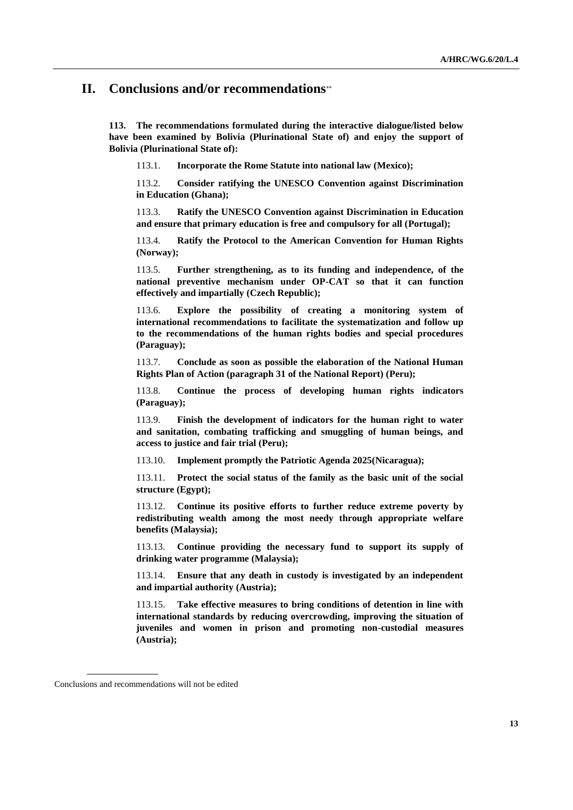## **II. Conclusions and/or recommendations**

**113. The recommendations formulated during the interactive dialogue/listed below have been examined by Bolivia (Plurinational State of) and enjoy the support of Bolivia (Plurinational State of):**

113.1. **Incorporate the Rome Statute into national law (Mexico);**

113.2. **Consider ratifying the UNESCO Convention against Discrimination in Education (Ghana);**

113.3. **Ratify the UNESCO Convention against Discrimination in Education and ensure that primary education is free and compulsory for all (Portugal);**

113.4. **Ratify the Protocol to the American Convention for Human Rights (Norway);**

113.5. **Further strengthening, as to its funding and independence, of the national preventive mechanism under OP-CAT so that it can function effectively and impartially (Czech Republic);**

113.6. **Explore the possibility of creating a monitoring system of international recommendations to facilitate the systematization and follow up to the recommendations of the human rights bodies and special procedures (Paraguay);**

113.7. **Conclude as soon as possible the elaboration of the National Human Rights Plan of Action (paragraph 31 of the National Report) (Peru);**

113.8. **Continue the process of developing human rights indicators (Paraguay);**

113.9. **Finish the development of indicators for the human right to water and sanitation, combating trafficking and smuggling of human beings, and access to justice and fair trial (Peru);**

113.10. **Implement promptly the Patriotic Agenda 2025(Nicaragua);**

113.11. **Protect the social status of the family as the basic unit of the social structure (Egypt);**

113.12. **Continue its positive efforts to further reduce extreme poverty by redistributing wealth among the most needy through appropriate welfare benefits (Malaysia);**

113.13. **Continue providing the necessary fund to support its supply of drinking water programme (Malaysia);**

113.14. **Ensure that any death in custody is investigated by an independent and impartial authority (Austria);**

113.15. **Take effective measures to bring conditions of detention in line with international standards by reducing overcrowding, improving the situation of juveniles and women in prison and promoting non-custodial measures (Austria);**

Conclusions and recommendations will not be edited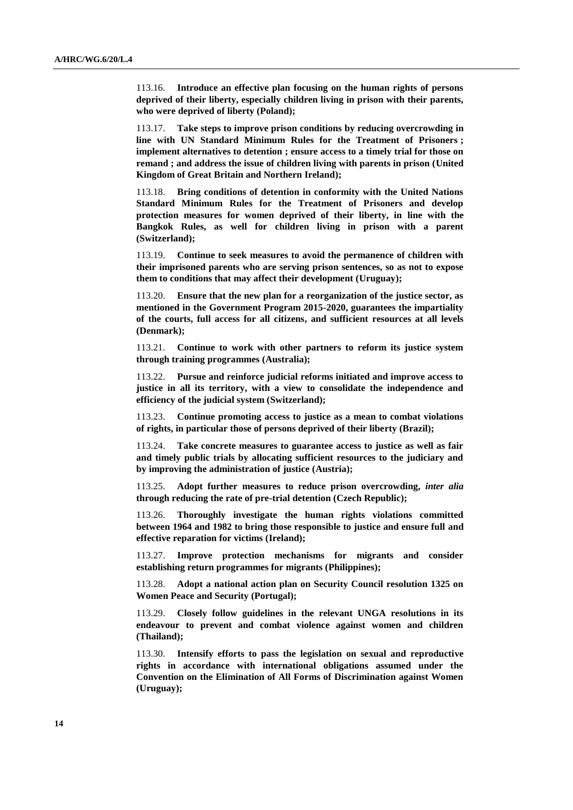113.16. **Introduce an effective plan focusing on the human rights of persons deprived of their liberty, especially children living in prison with their parents, who were deprived of liberty (Poland);**

113.17. **Take steps to improve prison conditions by reducing overcrowding in line with UN Standard Minimum Rules for the Treatment of Prisoners ; implement alternatives to detention ; ensure access to a timely trial for those on remand ; and address the issue of children living with parents in prison (United Kingdom of Great Britain and Northern Ireland);** 

113.18. **Bring conditions of detention in conformity with the United Nations Standard Minimum Rules for the Treatment of Prisoners and develop protection measures for women deprived of their liberty, in line with the Bangkok Rules, as well for children living in prison with a parent (Switzerland);**

113.19. **Continue to seek measures to avoid the permanence of children with their imprisoned parents who are serving prison sentences, so as not to expose them to conditions that may affect their development (Uruguay);**

113.20. **Ensure that the new plan for a reorganization of the justice sector, as mentioned in the Government Program 2015-2020, guarantees the impartiality of the courts, full access for all citizens, and sufficient resources at all levels (Denmark);**

113.21. **Continue to work with other partners to reform its justice system through training programmes (Australia);**

113.22. **Pursue and reinforce judicial reforms initiated and improve access to justice in all its territory, with a view to consolidate the independence and efficiency of the judicial system (Switzerland);**

113.23. **Continue promoting access to justice as a mean to combat violations of rights, in particular those of persons deprived of their liberty (Brazil);**

113.24. **Take concrete measures to guarantee access to justice as well as fair and timely public trials by allocating sufficient resources to the judiciary and by improving the administration of justice (Austria);**

113.25. **Adopt further measures to reduce prison overcrowding,** *inter alia* **through reducing the rate of pre-trial detention (Czech Republic);**

113.26. **Thoroughly investigate the human rights violations committed between 1964 and 1982 to bring those responsible to justice and ensure full and effective reparation for victims (Ireland);**

113.27. **Improve protection mechanisms for migrants and consider establishing return programmes for migrants (Philippines);**

113.28. **Adopt a national action plan on Security Council resolution 1325 on Women Peace and Security (Portugal);**

113.29. **Closely follow guidelines in the relevant UNGA resolutions in its endeavour to prevent and combat violence against women and children (Thailand);**

113.30. **Intensify efforts to pass the legislation on sexual and reproductive rights in accordance with international obligations assumed under the Convention on the Elimination of All Forms of Discrimination against Women (Uruguay);**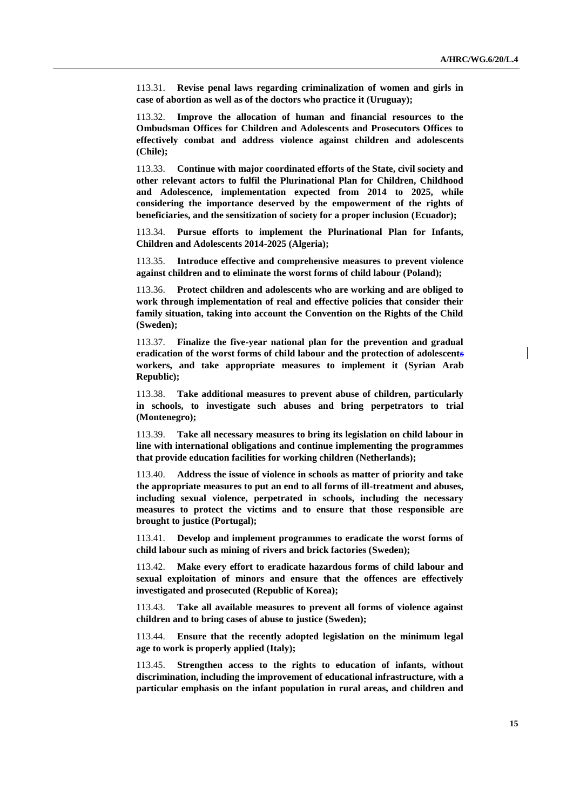113.31. **Revise penal laws regarding criminalization of women and girls in case of abortion as well as of the doctors who practice it (Uruguay);**

113.32. **Improve the allocation of human and financial resources to the Ombudsman Offices for Children and Adolescents and Prosecutors Offices to effectively combat and address violence against children and adolescents (Chile);**

113.33. **Continue with major coordinated efforts of the State, civil society and other relevant actors to fulfil the Plurinational Plan for Children, Childhood and Adolescence, implementation expected from 2014 to 2025, while considering the importance deserved by the empowerment of the rights of beneficiaries, and the sensitization of society for a proper inclusion (Ecuador);**

113.34. **Pursue efforts to implement the Plurinational Plan for Infants, Children and Adolescents 2014-2025 (Algeria);**

113.35. **Introduce effective and comprehensive measures to prevent violence against children and to eliminate the worst forms of child labour (Poland);**

113.36. **Protect children and adolescents who are working and are obliged to work through implementation of real and effective policies that consider their family situation, taking into account the Convention on the Rights of the Child (Sweden);**

113.37. **Finalize the five-year national plan for the prevention and gradual eradication of the worst forms of child labour and the protection of adolescents workers, and take appropriate measures to implement it (Syrian Arab Republic);**

113.38. **Take additional measures to prevent abuse of children, particularly in schools, to investigate such abuses and bring perpetrators to trial (Montenegro);**

113.39. **Take all necessary measures to bring its legislation on child labour in line with international obligations and continue implementing the programmes that provide education facilities for working children (Netherlands);**

113.40. **Address the issue of violence in schools as matter of priority and take the appropriate measures to put an end to all forms of ill-treatment and abuses, including sexual violence, perpetrated in schools, including the necessary measures to protect the victims and to ensure that those responsible are brought to justice (Portugal);**

113.41. **Develop and implement programmes to eradicate the worst forms of child labour such as mining of rivers and brick factories (Sweden);**

113.42. **Make every effort to eradicate hazardous forms of child labour and sexual exploitation of minors and ensure that the offences are effectively investigated and prosecuted (Republic of Korea);**

113.43. **Take all available measures to prevent all forms of violence against children and to bring cases of abuse to justice (Sweden);**

113.44. **Ensure that the recently adopted legislation on the minimum legal age to work is properly applied (Italy);**

113.45. **Strengthen access to the rights to education of infants, without discrimination, including the improvement of educational infrastructure, with a particular emphasis on the infant population in rural areas, and children and**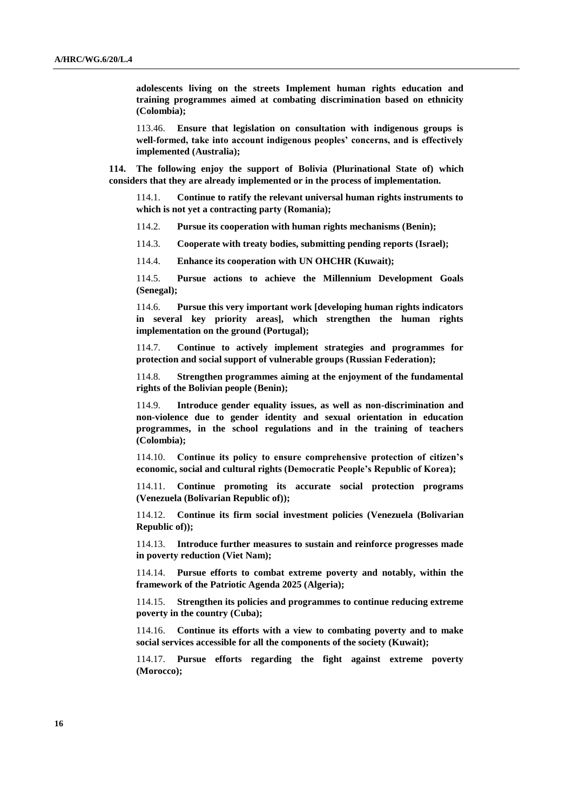**adolescents living on the streets Implement human rights education and training programmes aimed at combating discrimination based on ethnicity (Colombia);**

113.46. **Ensure that legislation on consultation with indigenous groups is well-formed, take into account indigenous peoples' concerns, and is effectively implemented (Australia);**

**114. The following enjoy the support of Bolivia (Plurinational State of) which considers that they are already implemented or in the process of implementation.**

114.1. **Continue to ratify the relevant universal human rights instruments to which is not yet a contracting party (Romania);**

114.2. **Pursue its cooperation with human rights mechanisms (Benin);**

114.3. **Cooperate with treaty bodies, submitting pending reports (Israel);**

114.4. **Enhance its cooperation with UN OHCHR (Kuwait);**

114.5. **Pursue actions to achieve the Millennium Development Goals (Senegal);**

114.6. **Pursue this very important work [developing human rights indicators in several key priority areas], which strengthen the human rights implementation on the ground (Portugal);**

114.7. **Continue to actively implement strategies and programmes for protection and social support of vulnerable groups (Russian Federation);** 

114.8. **Strengthen programmes aiming at the enjoyment of the fundamental rights of the Bolivian people (Benin);**

114.9. **Introduce gender equality issues, as well as non-discrimination and non-violence due to gender identity and sexual orientation in education programmes, in the school regulations and in the training of teachers (Colombia);**

114.10. **Continue its policy to ensure comprehensive protection of citizen's economic, social and cultural rights (Democratic People's Republic of Korea);**

114.11. **Continue promoting its accurate social protection programs (Venezuela (Bolivarian Republic of));**

114.12. **Continue its firm social investment policies (Venezuela (Bolivarian Republic of));**

114.13. **Introduce further measures to sustain and reinforce progresses made in poverty reduction (Viet Nam);**

114.14. **Pursue efforts to combat extreme poverty and notably, within the framework of the Patriotic Agenda 2025 (Algeria);**

114.15. **Strengthen its policies and programmes to continue reducing extreme poverty in the country (Cuba);**

114.16. **Continue its efforts with a view to combating poverty and to make social services accessible for all the components of the society (Kuwait);**

114.17. **Pursue efforts regarding the fight against extreme poverty (Morocco);**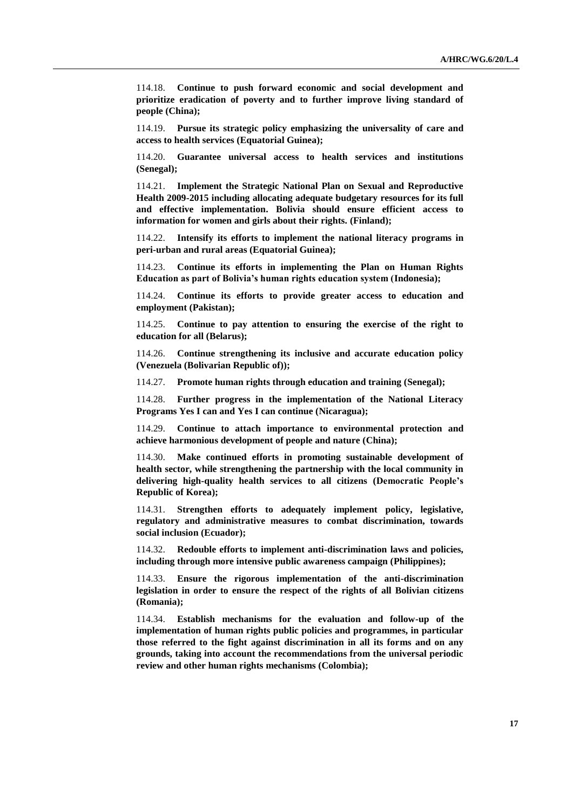114.18. **Continue to push forward economic and social development and prioritize eradication of poverty and to further improve living standard of people (China);**

114.19. **Pursue its strategic policy emphasizing the universality of care and access to health services (Equatorial Guinea);**

114.20. **Guarantee universal access to health services and institutions (Senegal);**

114.21. **Implement the Strategic National Plan on Sexual and Reproductive Health 2009-2015 including allocating adequate budgetary resources for its full and effective implementation. Bolivia should ensure efficient access to information for women and girls about their rights. (Finland);**

114.22. **Intensify its efforts to implement the national literacy programs in peri-urban and rural areas (Equatorial Guinea);**

114.23. **Continue its efforts in implementing the Plan on Human Rights Education as part of Bolivia's human rights education system (Indonesia);**

114.24. **Continue its efforts to provide greater access to education and employment (Pakistan);**

114.25. **Continue to pay attention to ensuring the exercise of the right to education for all (Belarus);**

114.26. **Continue strengthening its inclusive and accurate education policy (Venezuela (Bolivarian Republic of));**

114.27. **Promote human rights through education and training (Senegal);**

114.28. **Further progress in the implementation of the National Literacy Programs Yes I can and Yes I can continue (Nicaragua);**

114.29. **Continue to attach importance to environmental protection and achieve harmonious development of people and nature (China);**

114.30. **Make continued efforts in promoting sustainable development of health sector, while strengthening the partnership with the local community in delivering high-quality health services to all citizens (Democratic People's Republic of Korea);**

114.31. **Strengthen efforts to adequately implement policy, legislative, regulatory and administrative measures to combat discrimination, towards social inclusion (Ecuador);**

114.32. **Redouble efforts to implement anti-discrimination laws and policies, including through more intensive public awareness campaign (Philippines);**

114.33. **Ensure the rigorous implementation of the anti-discrimination legislation in order to ensure the respect of the rights of all Bolivian citizens (Romania);**

114.34. **Establish mechanisms for the evaluation and follow-up of the implementation of human rights public policies and programmes, in particular those referred to the fight against discrimination in all its forms and on any grounds, taking into account the recommendations from the universal periodic review and other human rights mechanisms (Colombia);**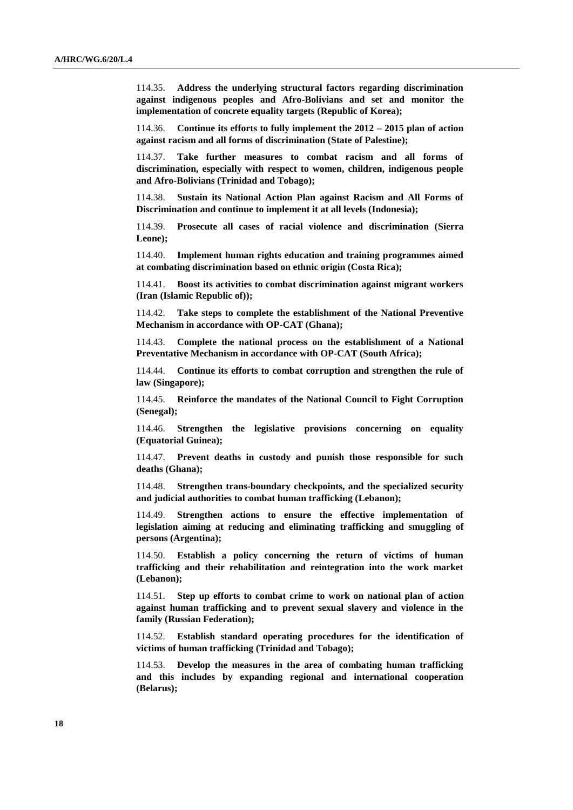114.35. **Address the underlying structural factors regarding discrimination against indigenous peoples and Afro-Bolivians and set and monitor the implementation of concrete equality targets (Republic of Korea);**

114.36. **Continue its efforts to fully implement the 2012 – 2015 plan of action against racism and all forms of discrimination (State of Palestine);**

114.37. **Take further measures to combat racism and all forms of discrimination, especially with respect to women, children, indigenous people and Afro-Bolivians (Trinidad and Tobago);**

114.38. **Sustain its National Action Plan against Racism and All Forms of Discrimination and continue to implement it at all levels (Indonesia);**

114.39. **Prosecute all cases of racial violence and discrimination (Sierra Leone);**

114.40. **Implement human rights education and training programmes aimed at combating discrimination based on ethnic origin (Costa Rica);**

114.41. **Boost its activities to combat discrimination against migrant workers (Iran (Islamic Republic of));**

114.42. **Take steps to complete the establishment of the National Preventive Mechanism in accordance with OP-CAT (Ghana);**

114.43. **Complete the national process on the establishment of a National Preventative Mechanism in accordance with OP-CAT (South Africa);**

114.44. **Continue its efforts to combat corruption and strengthen the rule of law (Singapore);**

114.45. **Reinforce the mandates of the National Council to Fight Corruption (Senegal);**

114.46. **Strengthen the legislative provisions concerning on equality (Equatorial Guinea);**

114.47. **Prevent deaths in custody and punish those responsible for such deaths (Ghana);**

114.48. **Strengthen trans-boundary checkpoints, and the specialized security and judicial authorities to combat human trafficking (Lebanon);**

114.49. **Strengthen actions to ensure the effective implementation of legislation aiming at reducing and eliminating trafficking and smuggling of persons (Argentina);**

114.50. **Establish a policy concerning the return of victims of human trafficking and their rehabilitation and reintegration into the work market (Lebanon);**

114.51. **Step up efforts to combat crime to work on national plan of action against human trafficking and to prevent sexual slavery and violence in the family (Russian Federation);** 

114.52. **Establish standard operating procedures for the identification of victims of human trafficking (Trinidad and Tobago);**

114.53. **Develop the measures in the area of combating human trafficking and this includes by expanding regional and international cooperation (Belarus);**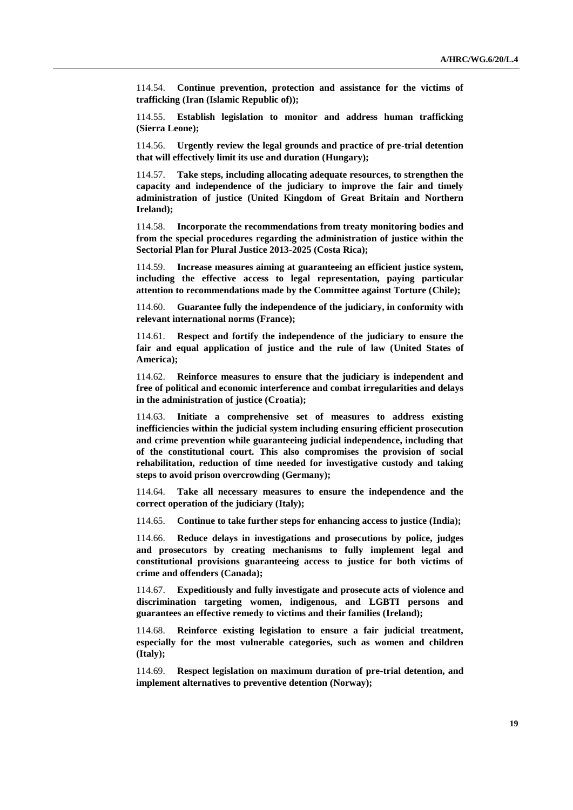114.54. **Continue prevention, protection and assistance for the victims of trafficking (Iran (Islamic Republic of));**

114.55. **Establish legislation to monitor and address human trafficking (Sierra Leone);**

114.56. **Urgently review the legal grounds and practice of pre-trial detention that will effectively limit its use and duration (Hungary);**

114.57. **Take steps, including allocating adequate resources, to strengthen the capacity and independence of the judiciary to improve the fair and timely administration of justice (United Kingdom of Great Britain and Northern Ireland);**

114.58. **Incorporate the recommendations from treaty monitoring bodies and from the special procedures regarding the administration of justice within the Sectorial Plan for Plural Justice 2013-2025 (Costa Rica);**

114.59. **Increase measures aiming at guaranteeing an efficient justice system, including the effective access to legal representation, paying particular attention to recommendations made by the Committee against Torture (Chile);**

114.60. **Guarantee fully the independence of the judiciary, in conformity with relevant international norms (France);**

114.61. **Respect and fortify the independence of the judiciary to ensure the fair and equal application of justice and the rule of law (United States of America);**

114.62. **Reinforce measures to ensure that the judiciary is independent and free of political and economic interference and combat irregularities and delays in the administration of justice (Croatia);** 

114.63. **Initiate a comprehensive set of measures to address existing inefficiencies within the judicial system including ensuring efficient prosecution and crime prevention while guaranteeing judicial independence, including that of the constitutional court. This also compromises the provision of social rehabilitation, reduction of time needed for investigative custody and taking steps to avoid prison overcrowding (Germany);**

114.64. **Take all necessary measures to ensure the independence and the correct operation of the judiciary (Italy);**

114.65. **Continue to take further steps for enhancing access to justice (India);**

114.66. **Reduce delays in investigations and prosecutions by police, judges and prosecutors by creating mechanisms to fully implement legal and constitutional provisions guaranteeing access to justice for both victims of crime and offenders (Canada);**

114.67. **Expeditiously and fully investigate and prosecute acts of violence and discrimination targeting women, indigenous, and LGBTI persons and guarantees an effective remedy to victims and their families (Ireland);**

114.68. **Reinforce existing legislation to ensure a fair judicial treatment, especially for the most vulnerable categories, such as women and children (Italy);**

114.69. **Respect legislation on maximum duration of pre-trial detention, and implement alternatives to preventive detention (Norway);**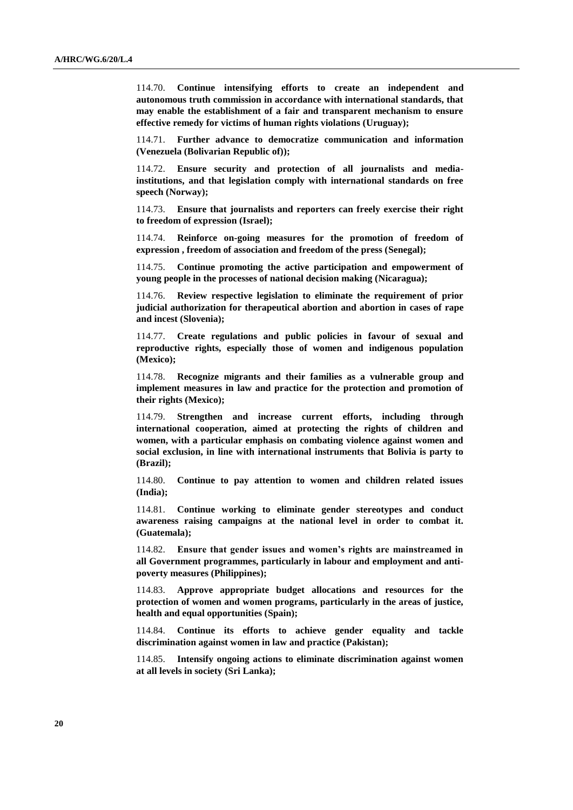114.70. **Continue intensifying efforts to create an independent and autonomous truth commission in accordance with international standards, that may enable the establishment of a fair and transparent mechanism to ensure effective remedy for victims of human rights violations (Uruguay);**

114.71. **Further advance to democratize communication and information (Venezuela (Bolivarian Republic of));**

114.72. **Ensure security and protection of all journalists and mediainstitutions, and that legislation comply with international standards on free speech (Norway);**

114.73. **Ensure that journalists and reporters can freely exercise their right to freedom of expression (Israel);**

114.74. **Reinforce on-going measures for the promotion of freedom of expression , freedom of association and freedom of the press (Senegal);**

114.75. **Continue promoting the active participation and empowerment of young people in the processes of national decision making (Nicaragua);**

114.76. **Review respective legislation to eliminate the requirement of prior judicial authorization for therapeutical abortion and abortion in cases of rape and incest (Slovenia);**

114.77. **Create regulations and public policies in favour of sexual and reproductive rights, especially those of women and indigenous population (Mexico);**

114.78. **Recognize migrants and their families as a vulnerable group and implement measures in law and practice for the protection and promotion of their rights (Mexico);**

114.79. **Strengthen and increase current efforts, including through international cooperation, aimed at protecting the rights of children and women, with a particular emphasis on combating violence against women and social exclusion, in line with international instruments that Bolivia is party to (Brazil);**

114.80. **Continue to pay attention to women and children related issues (India);**

114.81. **Continue working to eliminate gender stereotypes and conduct awareness raising campaigns at the national level in order to combat it. (Guatemala);**

114.82. **Ensure that gender issues and women's rights are mainstreamed in all Government programmes, particularly in labour and employment and antipoverty measures (Philippines);**

114.83. **Approve appropriate budget allocations and resources for the protection of women and women programs, particularly in the areas of justice, health and equal opportunities (Spain);**

114.84. **Continue its efforts to achieve gender equality and tackle discrimination against women in law and practice (Pakistan);**

114.85. **Intensify ongoing actions to eliminate discrimination against women at all levels in society (Sri Lanka);**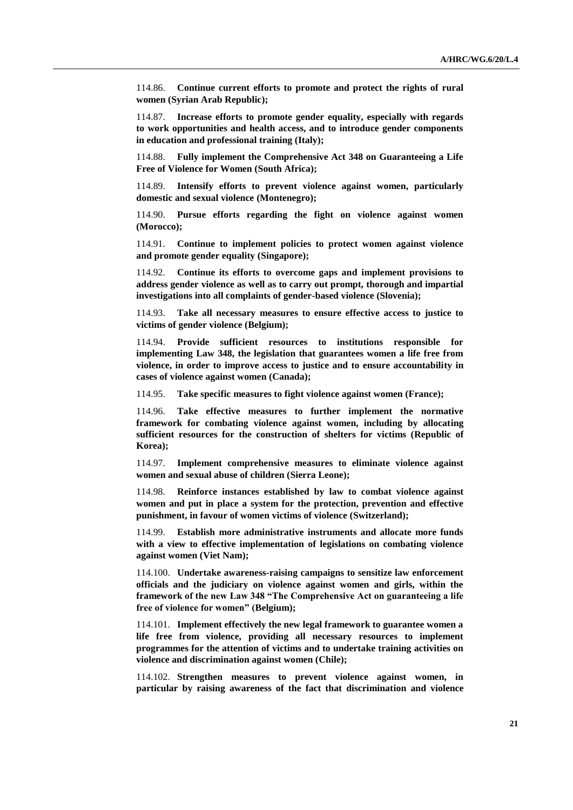114.86. **Continue current efforts to promote and protect the rights of rural women (Syrian Arab Republic);**

114.87. **Increase efforts to promote gender equality, especially with regards to work opportunities and health access, and to introduce gender components in education and professional training (Italy);**

114.88. **Fully implement the Comprehensive Act 348 on Guaranteeing a Life Free of Violence for Women (South Africa);**

114.89. **Intensify efforts to prevent violence against women, particularly domestic and sexual violence (Montenegro);**

114.90. **Pursue efforts regarding the fight on violence against women (Morocco);**

114.91. **Continue to implement policies to protect women against violence and promote gender equality (Singapore);**

114.92. **Continue its efforts to overcome gaps and implement provisions to address gender violence as well as to carry out prompt, thorough and impartial investigations into all complaints of gender-based violence (Slovenia);**

114.93. **Take all necessary measures to ensure effective access to justice to victims of gender violence (Belgium);**

114.94. **Provide sufficient resources to institutions responsible for implementing Law 348, the legislation that guarantees women a life free from violence, in order to improve access to justice and to ensure accountability in cases of violence against women (Canada);**

114.95. **Take specific measures to fight violence against women (France);**

114.96. **Take effective measures to further implement the normative framework for combating violence against women, including by allocating sufficient resources for the construction of shelters for victims (Republic of Korea);**

114.97. **Implement comprehensive measures to eliminate violence against women and sexual abuse of children (Sierra Leone);**

114.98. **Reinforce instances established by law to combat violence against women and put in place a system for the protection, prevention and effective punishment, in favour of women victims of violence (Switzerland);**

114.99. **Establish more administrative instruments and allocate more funds with a view to effective implementation of legislations on combating violence against women (Viet Nam);**

114.100. **Undertake awareness-raising campaigns to sensitize law enforcement officials and the judiciary on violence against women and girls, within the framework of the new Law 348 "The Comprehensive Act on guaranteeing a life free of violence for women" (Belgium);**

114.101. **Implement effectively the new legal framework to guarantee women a life free from violence, providing all necessary resources to implement programmes for the attention of victims and to undertake training activities on violence and discrimination against women (Chile);**

114.102. **Strengthen measures to prevent violence against women, in particular by raising awareness of the fact that discrimination and violence**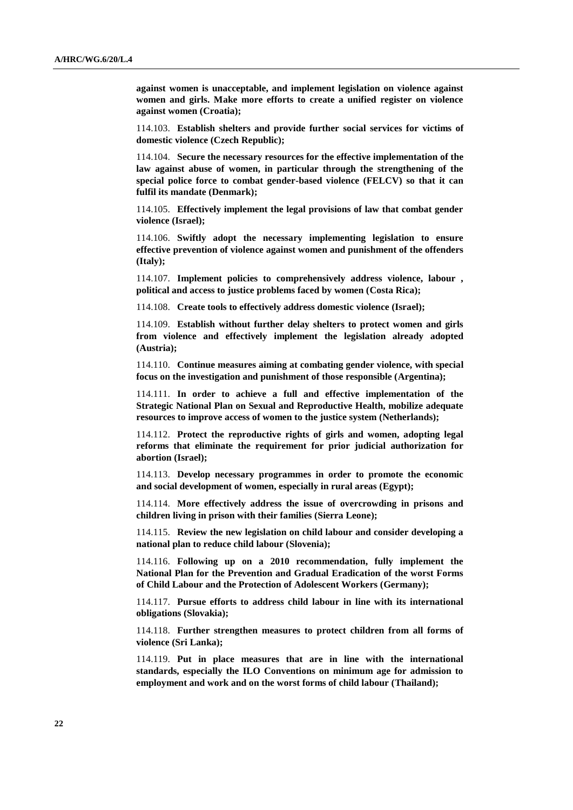**against women is unacceptable, and implement legislation on violence against women and girls. Make more efforts to create a unified register on violence against women (Croatia);**

114.103. **Establish shelters and provide further social services for victims of domestic violence (Czech Republic);**

114.104. **Secure the necessary resources for the effective implementation of the law against abuse of women, in particular through the strengthening of the special police force to combat gender-based violence (FELCV) so that it can fulfil its mandate (Denmark);**

114.105. **Effectively implement the legal provisions of law that combat gender violence (Israel);**

114.106. **Swiftly adopt the necessary implementing legislation to ensure effective prevention of violence against women and punishment of the offenders (Italy);**

114.107. **Implement policies to comprehensively address violence, labour , political and access to justice problems faced by women (Costa Rica);**

114.108. **Create tools to effectively address domestic violence (Israel);**

114.109. **Establish without further delay shelters to protect women and girls from violence and effectively implement the legislation already adopted (Austria);**

114.110. **Continue measures aiming at combating gender violence, with special focus on the investigation and punishment of those responsible (Argentina);**

114.111. **In order to achieve a full and effective implementation of the Strategic National Plan on Sexual and Reproductive Health, mobilize adequate resources to improve access of women to the justice system (Netherlands);**

114.112. **Protect the reproductive rights of girls and women, adopting legal reforms that eliminate the requirement for prior judicial authorization for abortion (Israel);**

114.113. **Develop necessary programmes in order to promote the economic and social development of women, especially in rural areas (Egypt);**

114.114. **More effectively address the issue of overcrowding in prisons and children living in prison with their families (Sierra Leone);**

114.115. **Review the new legislation on child labour and consider developing a national plan to reduce child labour (Slovenia);**

114.116. **Following up on a 2010 recommendation, fully implement the National Plan for the Prevention and Gradual Eradication of the worst Forms of Child Labour and the Protection of Adolescent Workers (Germany);** 

114.117. **Pursue efforts to address child labour in line with its international obligations (Slovakia);**

114.118. **Further strengthen measures to protect children from all forms of violence (Sri Lanka);**

114.119. **Put in place measures that are in line with the international standards, especially the ILO Conventions on minimum age for admission to employment and work and on the worst forms of child labour (Thailand);**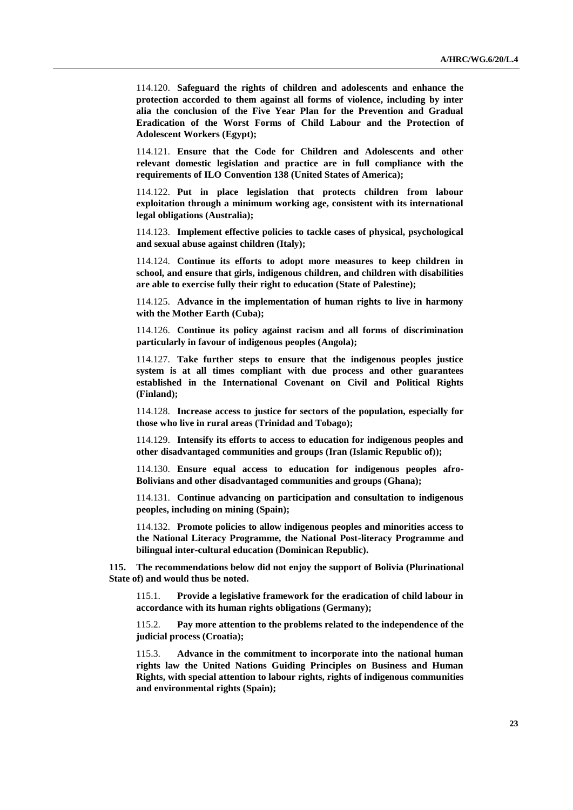114.120. **Safeguard the rights of children and adolescents and enhance the protection accorded to them against all forms of violence, including by inter alia the conclusion of the Five Year Plan for the Prevention and Gradual Eradication of the Worst Forms of Child Labour and the Protection of Adolescent Workers (Egypt);**

114.121. **Ensure that the Code for Children and Adolescents and other relevant domestic legislation and practice are in full compliance with the requirements of ILO Convention 138 (United States of America);**

114.122. **Put in place legislation that protects children from labour exploitation through a minimum working age, consistent with its international legal obligations (Australia);**

114.123. **Implement effective policies to tackle cases of physical, psychological and sexual abuse against children (Italy);**

114.124. **Continue its efforts to adopt more measures to keep children in school, and ensure that girls, indigenous children, and children with disabilities are able to exercise fully their right to education (State of Palestine);**

114.125. **Advance in the implementation of human rights to live in harmony with the Mother Earth (Cuba);**

114.126. **Continue its policy against racism and all forms of discrimination particularly in favour of indigenous peoples (Angola);**

114.127. **Take further steps to ensure that the indigenous peoples justice system is at all times compliant with due process and other guarantees established in the International Covenant on Civil and Political Rights (Finland);**

114.128. **Increase access to justice for sectors of the population, especially for those who live in rural areas (Trinidad and Tobago);**

114.129. **Intensify its efforts to access to education for indigenous peoples and other disadvantaged communities and groups (Iran (Islamic Republic of));**

114.130. **Ensure equal access to education for indigenous peoples afro-Bolivians and other disadvantaged communities and groups (Ghana);**

114.131. **Continue advancing on participation and consultation to indigenous peoples, including on mining (Spain);**

114.132. **Promote policies to allow indigenous peoples and minorities access to the National Literacy Programme, the National Post-literacy Programme and bilingual inter-cultural education (Dominican Republic).**

**115. The recommendations below did not enjoy the support of Bolivia (Plurinational State of) and would thus be noted.**

115.1. **Provide a legislative framework for the eradication of child labour in accordance with its human rights obligations (Germany);**

115.2. **Pay more attention to the problems related to the independence of the judicial process (Croatia);**

115.3. **Advance in the commitment to incorporate into the national human rights law the United Nations Guiding Principles on Business and Human Rights, with special attention to labour rights, rights of indigenous communities and environmental rights (Spain);**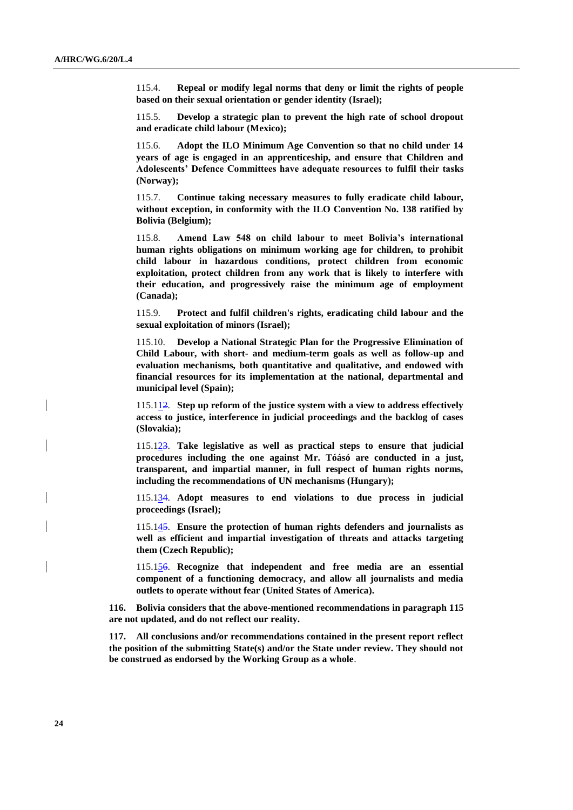115.4. **Repeal or modify legal norms that deny or limit the rights of people based on their sexual orientation or gender identity (Israel);**

115.5. **Develop a strategic plan to prevent the high rate of school dropout and eradicate child labour (Mexico);**

115.6. **Adopt the ILO Minimum Age Convention so that no child under 14 years of age is engaged in an apprenticeship, and ensure that Children and Adolescents' Defence Committees have adequate resources to fulfil their tasks (Norway);**

115.7. **Continue taking necessary measures to fully eradicate child labour, without exception, in conformity with the ILO Convention No. 138 ratified by Bolivia (Belgium);**

115.8. **Amend Law 548 on child labour to meet Bolivia's international human rights obligations on minimum working age for children, to prohibit child labour in hazardous conditions, protect children from economic exploitation, protect children from any work that is likely to interfere with their education, and progressively raise the minimum age of employment (Canada);**

115.9. **Protect and fulfil children's rights, eradicating child labour and the sexual exploitation of minors (Israel);**

115.10. **Develop a National Strategic Plan for the Progressive Elimination of Child Labour, with short- and medium-term goals as well as follow-up and evaluation mechanisms, both quantitative and qualitative, and endowed with financial resources for its implementation at the national, departmental and municipal level (Spain);**

115.112. **Step up reform of the justice system with a view to address effectively access to justice, interference in judicial proceedings and the backlog of cases (Slovakia);**

115.123. **Take legislative as well as practical steps to ensure that judicial procedures including the one against Mr. Tóásó are conducted in a just, transparent, and impartial manner, in full respect of human rights norms, including the recommendations of UN mechanisms (Hungary);**

115.134. **Adopt measures to end violations to due process in judicial proceedings (Israel);**

115.145. **Ensure the protection of human rights defenders and journalists as well as efficient and impartial investigation of threats and attacks targeting them (Czech Republic);**

115.156. **Recognize that independent and free media are an essential component of a functioning democracy, and allow all journalists and media outlets to operate without fear (United States of America).**

**116. Bolivia considers that the above-mentioned recommendations in paragraph 115 are not updated, and do not reflect our reality.**

**117. All conclusions and/or recommendations contained in the present report reflect the position of the submitting State(s) and/or the State under review. They should not be construed as endorsed by the Working Group as a whole**.